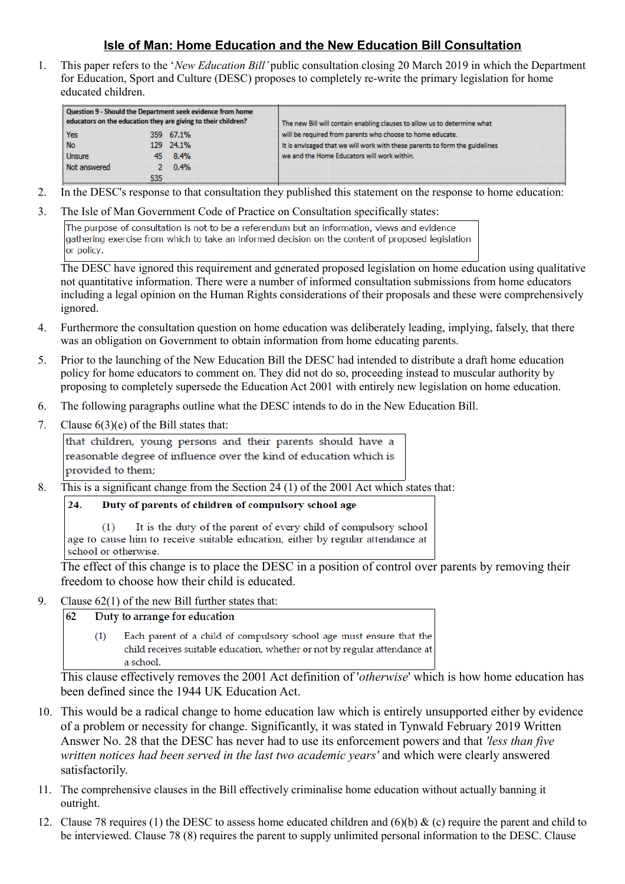## **Isle of Man: Home Education and the New Education Bill Consultation**

1. This paper refers to the '*New Education Bill'* public consultation closing 20 March 2019 in which the Department for Education, Sport and Culture (DESC) proposes to completely re-write the primary legislation for home educated children.

| Question 9 - Should the Department seek evidence from home<br>educators on the education they are giving to their children? |      |           |  | The new Bill will contain enabling clauses to allow us to determine what    |
|-----------------------------------------------------------------------------------------------------------------------------|------|-----------|--|-----------------------------------------------------------------------------|
| Yes                                                                                                                         |      | 359 67.1% |  | will be required from parents who choose to home educate.                   |
| <b>No</b>                                                                                                                   |      | 129 24.1% |  | It is envisaged that we will work with these parents to form the guidelines |
| <b>Unsure</b>                                                                                                               |      | 45 8.4%   |  | we and the Home Educators will work within.                                 |
| Not answered                                                                                                                |      | 0.4%      |  |                                                                             |
|                                                                                                                             | 535. |           |  |                                                                             |

- 2. In the DESC's response to that consultation they published this statement on the response to home education:
- 3. The Isle of Man Government Code of Practice on Consultation specifically states:

The purpose of consultation is not to be a referendum but an information, views and evidence gathering exercise from which to take an informed decision on the content of proposed legislation or policy.

The DESC have ignored this requirement and generated proposed legislation on home education using qualitative not quantitative information. There were a number of informed consultation submissions from home educators including a legal opinion on the Human Rights considerations of their proposals and these were comprehensively ignored.

- 4. Furthermore the consultation question on home education was deliberately leading, implying, falsely, that there was an obligation on Government to obtain information from home educating parents.
- 5. Prior to the launching of the New Education Bill the DESC had intended to distribute a draft home education policy for home educators to comment on. They did not do so, proceeding instead to muscular authority by proposing to completely supersede the Education Act 2001 with entirely new legislation on home education.
- 6. The following paragraphs outline what the DESC intends to do in the New Education Bill.
- 7. Clause  $6(3)(e)$  of the Bill states that:

that children, young persons and their parents should have a reasonable degree of influence over the kind of education which is provided to them;

- 8. This is a significant change from the Section 24 (1) of the 2001 Act which states that:
	- $24$ Duty of parents of children of compulsory school age

 $(1)$ It is the duty of the parent of every child of compulsory school age to cause him to receive suitable education, either by regular attendance at school or otherwise.

The effect of this change is to place the DESC in a position of control over parents by removing their freedom to choose how their child is educated.

9. Clause 62(1) of the new Bill further states that:

62 Duty to arrange for education

> $(1)$ Each parent of a child of compulsory school age must ensure that the child receives suitable education, whether or not by regular attendance at a school.

This clause effectively removes the 2001 Act definition of '*otherwise*' which is how home education has been defined since the 1944 UK Education Act.

- 10. This would be a radical change to home education law which is entirely unsupported either by evidence of a problem or necessity for change. Significantly, it was stated in Tynwald February 2019 Written Answer No. 28 that the DESC has never had to use its enforcement powers and that *'less than five written notices had been served in the last two academic years'* and which were clearly answered satisfactorily.
- 11. The comprehensive clauses in the Bill effectively criminalise home education without actually banning it outright.
- 12. Clause 78 requires (1) the DESC to assess home educated children and  $(6)(b)$  & (c) require the parent and child to be interviewed. Clause 78 (8) requires the parent to supply unlimited personal information to the DESC. Clause